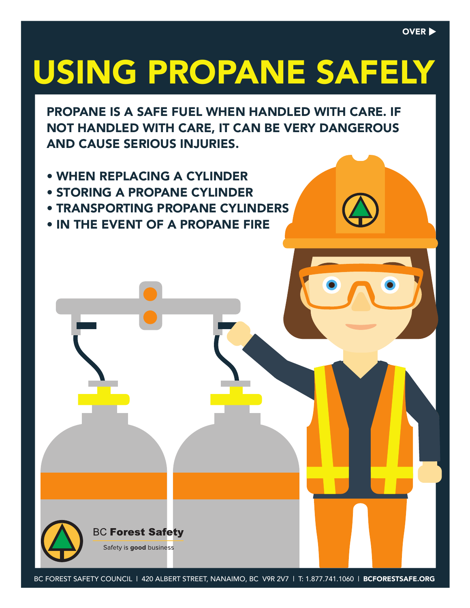# USING PROPANE SAFELY

PROPANE IS A SAFE FUEL WHEN HANDLED WITH CARE. IF NOT HANDLED WITH CARE, IT CAN BE VERY DANGEROUS AND CAUSE SERIOUS INJURIES.

- WHEN REPLACING A CYLINDER
- STORING A PROPANE CYLINDER
- TRANSPORTING PROPANE CYLINDERS
- IN THE EVENT OF A PROPANE FIRE



BC FOREST SAFETY COUNCIL | 420 ALBERT STREET, NANAIMO, BC V9R 2V7 | T: 1.877.741.1060 | BCFORESTSAFE.ORG